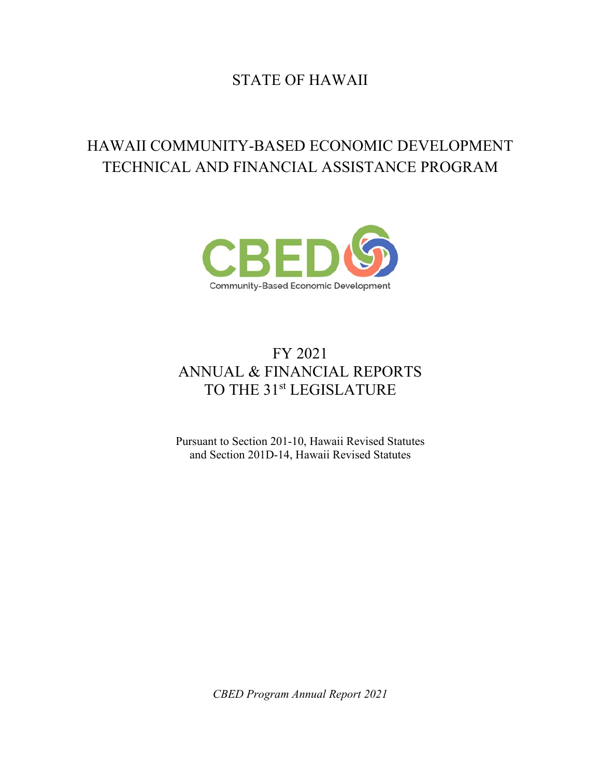# STATE OF HAWAII

# HAWAII COMMUNITY-BASED ECONOMIC DEVELOPMENT TECHNICAL AND FINANCIAL ASSISTANCE PROGRAM



# FY 2021 ANNUAL & FINANCIAL REPORTS TO THE 31st LEGISLATURE

Pursuant to Section 201-10, Hawaii Revised Statutes and Section 201D-14, Hawaii Revised Statutes

*CBED Program Annual Report 2021*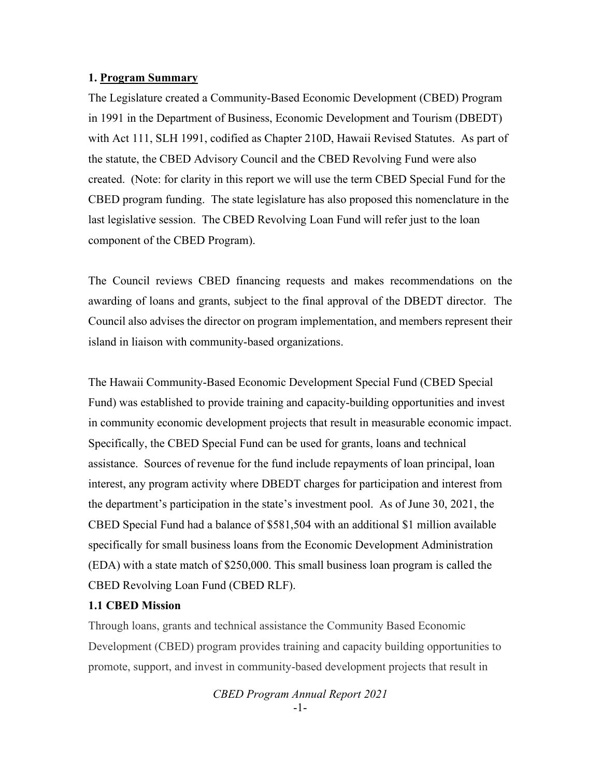#### **1. Program Summary**

The Legislature created a Community-Based Economic Development (CBED) Program in 1991 in the Department of Business, Economic Development and Tourism (DBEDT) with Act 111, SLH 1991, codified as Chapter 210D, Hawaii Revised Statutes. As part of the statute, the CBED Advisory Council and the CBED Revolving Fund were also created. (Note: for clarity in this report we will use the term CBED Special Fund for the CBED program funding. The state legislature has also proposed this nomenclature in the last legislative session. The CBED Revolving Loan Fund will refer just to the loan component of the CBED Program).

The Council reviews CBED financing requests and makes recommendations on the awarding of loans and grants, subject to the final approval of the DBEDT director. The Council also advises the director on program implementation, and members represent their island in liaison with community-based organizations.

The Hawaii Community-Based Economic Development Special Fund (CBED Special Fund) was established to provide training and capacity-building opportunities and invest in community economic development projects that result in measurable economic impact. Specifically, the CBED Special Fund can be used for grants, loans and technical assistance. Sources of revenue for the fund include repayments of loan principal, loan interest, any program activity where DBEDT charges for participation and interest from the department's participation in the state's investment pool. As of June 30, 2021, the CBED Special Fund had a balance of \$581,504 with an additional \$1 million available specifically for small business loans from the Economic Development Administration (EDA) with a state match of \$250,000. This small business loan program is called the CBED Revolving Loan Fund (CBED RLF).

#### **1.1 CBED Mission**

Through loans, grants and technical assistance the Community Based Economic Development (CBED) program provides training and capacity building opportunities to promote, support, and invest in community-based development projects that result in

```
CBED Program Annual Report 2021
   -1-
```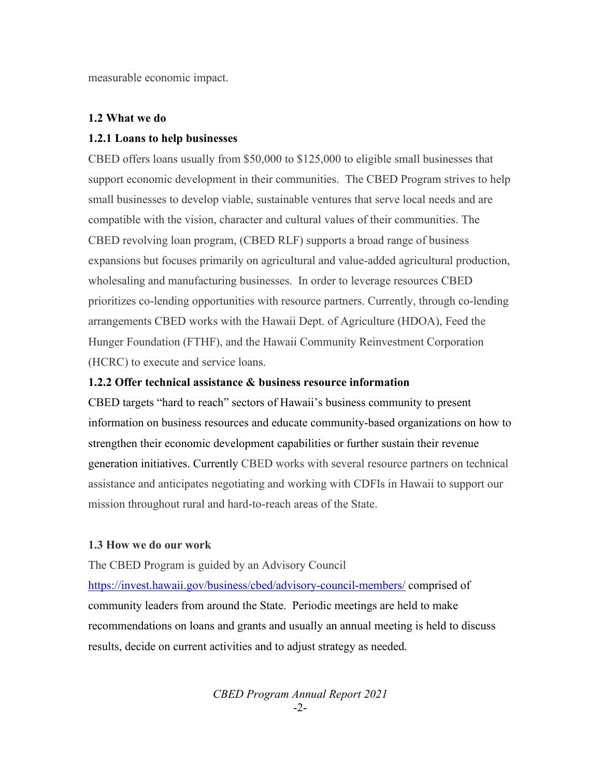measurable economic impact.

#### **1.2 What we do**

#### **1.2.1 Loans to help businesses**

CBED offers loans usually from \$50,000 to \$125,000 to eligible small businesses that support economic development in their communities. The CBED Program strives to help small businesses to develop viable, sustainable ventures that serve local needs and are compatible with the vision, character and cultural values of their communities. The CBED revolving loan program, (CBED RLF) supports a broad range of business expansions but focuses primarily on agricultural and value-added agricultural production, wholesaling and manufacturing businesses. In order to leverage resources CBED prioritizes co-lending opportunities with resource partners. Currently, through co-lending arrangements CBED works with the Hawaii Dept. of Agriculture (HDOA), Feed the Hunger Foundation (FTHF), and the Hawaii Community Reinvestment Corporation (HCRC) to execute and service loans.

#### **1.2.2 Offer technical assistance & business resource information**

CBED targets "hard to reach" sectors of Hawaii's business community to present information on business resources and educate community-based organizations on how to strengthen their economic development capabilities or further sustain their revenue generation initiatives. Currently CBED works with several resource partners on technical assistance and anticipates negotiating and working with CDFIs in Hawaii to support our mission throughout rural and hard-to-reach areas of the State.

### **1.3 How we do our work**

The CBED Program is guided by an Advisory Council

<https://invest.hawaii.gov/business/cbed/advisory-council-members/>comprised of community leaders from around the State. Periodic meetings are held to make recommendations on loans and grants and usually an annual meeting is held to discuss results, decide on current activities and to adjust strategy as needed.

> *CBED Program Annual Report 2021* -2-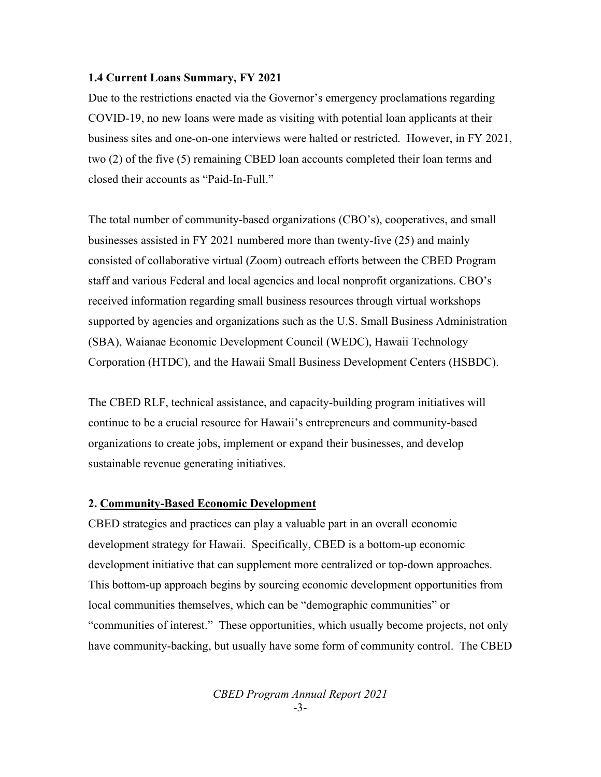#### **1.4 Current Loans Summary, FY 2021**

Due to the restrictions enacted via the Governor's emergency proclamations regarding COVID-19, no new loans were made as visiting with potential loan applicants at their business sites and one-on-one interviews were halted or restricted. However, in FY 2021, two (2) of the five (5) remaining CBED loan accounts completed their loan terms and closed their accounts as "Paid-In-Full."

The total number of community-based organizations (CBO's), cooperatives, and small businesses assisted in FY 2021 numbered more than twenty-five (25) and mainly consisted of collaborative virtual (Zoom) outreach efforts between the CBED Program staff and various Federal and local agencies and local nonprofit organizations. CBO's received information regarding small business resources through virtual workshops supported by agencies and organizations such as the U.S. Small Business Administration (SBA), Waianae Economic Development Council (WEDC), Hawaii Technology Corporation (HTDC), and the Hawaii Small Business Development Centers (HSBDC).

The CBED RLF, technical assistance, and capacity-building program initiatives will continue to be a crucial resource for Hawaii's entrepreneurs and community-based organizations to create jobs, implement or expand their businesses, and develop sustainable revenue generating initiatives.

# **2. Community-Based Economic Development**

CBED strategies and practices can play a valuable part in an overall economic development strategy for Hawaii. Specifically, CBED is a bottom-up economic development initiative that can supplement more centralized or top-down approaches. This bottom-up approach begins by sourcing economic development opportunities from local communities themselves, which can be "demographic communities" or "communities of interest." These opportunities, which usually become projects, not only have community-backing, but usually have some form of community control. The CBED

> *CBED Program Annual Report 2021* -3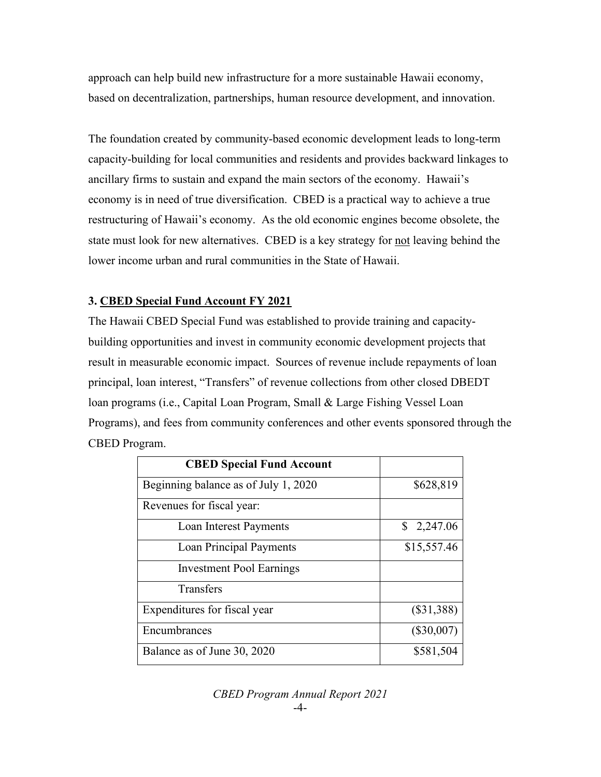approach can help build new infrastructure for a more sustainable Hawaii economy, based on decentralization, partnerships, human resource development, and innovation.

The foundation created by community-based economic development leads to long-term capacity-building for local communities and residents and provides backward linkages to ancillary firms to sustain and expand the main sectors of the economy. Hawaii's economy is in need of true diversification. CBED is a practical way to achieve a true restructuring of Hawaii's economy. As the old economic engines become obsolete, the state must look for new alternatives. CBED is a key strategy for not leaving behind the lower income urban and rural communities in the State of Hawaii.

## **3. CBED Special Fund Account FY 2021**

The Hawaii CBED Special Fund was established to provide training and capacitybuilding opportunities and invest in community economic development projects that result in measurable economic impact. Sources of revenue include repayments of loan principal, loan interest, "Transfers" of revenue collections from other closed DBEDT loan programs (i.e., Capital Loan Program, Small & Large Fishing Vessel Loan Programs), and fees from community conferences and other events sponsored through the CBED Program.

| <b>CBED Special Fund Account</b>     |              |
|--------------------------------------|--------------|
| Beginning balance as of July 1, 2020 | \$628,819    |
| Revenues for fiscal year:            |              |
| Loan Interest Payments               | 2,247.06     |
| <b>Loan Principal Payments</b>       | \$15,557.46  |
| <b>Investment Pool Earnings</b>      |              |
| Transfers                            |              |
| Expenditures for fiscal year         | $(\$31,388)$ |
| Encumbrances                         | $(\$30,007)$ |
| Balance as of June 30, 2020          | \$581,504    |

*CBED Program Annual Report 2021* -4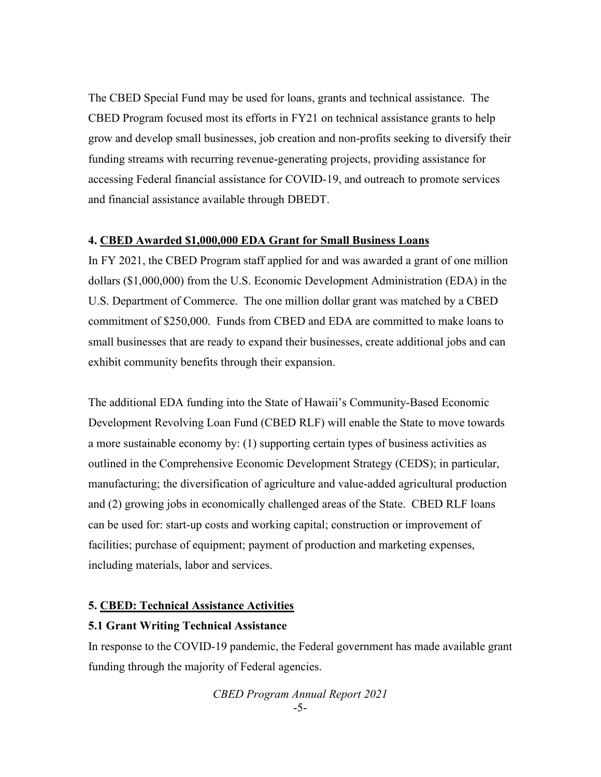The CBED Special Fund may be used for loans, grants and technical assistance. The CBED Program focused most its efforts in FY21 on technical assistance grants to help grow and develop small businesses, job creation and non-profits seeking to diversify their funding streams with recurring revenue-generating projects, providing assistance for accessing Federal financial assistance for COVID-19, and outreach to promote services and financial assistance available through DBEDT.

#### **4. CBED Awarded \$1,000,000 EDA Grant for Small Business Loans**

In FY 2021, the CBED Program staff applied for and was awarded a grant of one million dollars (\$1,000,000) from the U.S. Economic Development Administration (EDA) in the U.S. Department of Commerce. The one million dollar grant was matched by a CBED commitment of \$250,000. Funds from CBED and EDA are committed to make loans to small businesses that are ready to expand their businesses, create additional jobs and can exhibit community benefits through their expansion.

The additional EDA funding into the State of Hawaii's Community-Based Economic Development Revolving Loan Fund (CBED RLF) will enable the State to move towards a more sustainable economy by: (1) supporting certain types of business activities as outlined in the Comprehensive Economic Development Strategy (CEDS); in particular, manufacturing; the diversification of agriculture and value-added agricultural production and (2) growing jobs in economically challenged areas of the State. CBED RLF loans can be used for: start-up costs and working capital; construction or improvement of facilities; purchase of equipment; payment of production and marketing expenses, including materials, labor and services.

### **5. CBED: Technical Assistance Activities**

## **5.1 Grant Writing Technical Assistance**

In response to the COVID-19 pandemic, the Federal government has made available grant funding through the majority of Federal agencies.

> *CBED Program Annual Report 2021* -5-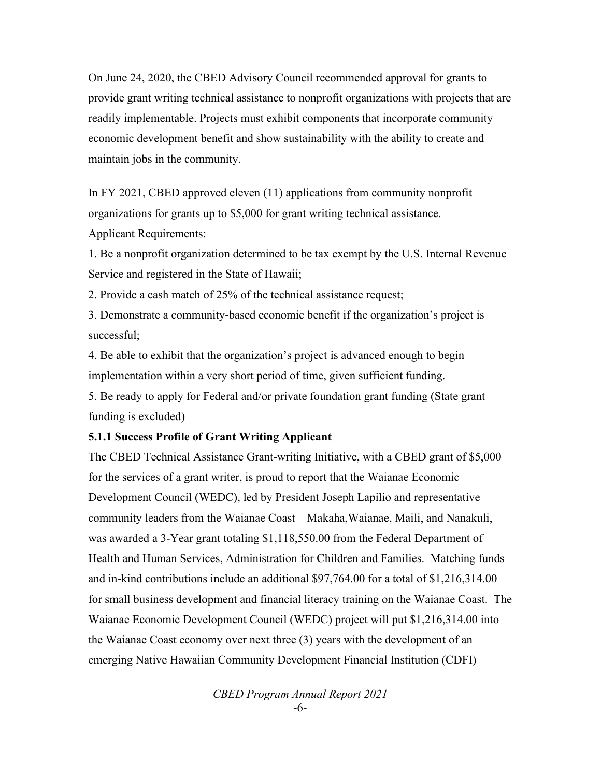On June 24, 2020, the CBED Advisory Council recommended approval for grants to provide grant writing technical assistance to nonprofit organizations with projects that are readily implementable. Projects must exhibit components that incorporate community economic development benefit and show sustainability with the ability to create and maintain jobs in the community.

In FY 2021, CBED approved eleven (11) applications from community nonprofit organizations for grants up to \$5,000 for grant writing technical assistance. Applicant Requirements:

1. Be a nonprofit organization determined to be tax exempt by the U.S. Internal Revenue Service and registered in the State of Hawaii;

2. Provide a cash match of 25% of the technical assistance request;

3. Demonstrate a community-based economic benefit if the organization's project is successful;

4. Be able to exhibit that the organization's project is advanced enough to begin implementation within a very short period of time, given sufficient funding.

5. Be ready to apply for Federal and/or private foundation grant funding (State grant funding is excluded)

#### **5.1.1 Success Profile of Grant Writing Applicant**

The CBED Technical Assistance Grant-writing Initiative, with a CBED grant of \$5,000 for the services of a grant writer, is proud to report that the Waianae Economic Development Council (WEDC), led by President Joseph Lapilio and representative community leaders from the Waianae Coast – Makaha,Waianae, Maili, and Nanakuli, was awarded a 3-Year grant totaling \$1,118,550.00 from the Federal Department of Health and Human Services, Administration for Children and Families. Matching funds and in-kind contributions include an additional \$97,764.00 for a total of \$1,216,314.00 for small business development and financial literacy training on the Waianae Coast. The Waianae Economic Development Council (WEDC) project will put \$1,216,314.00 into the Waianae Coast economy over next three (3) years with the development of an emerging Native Hawaiian Community Development Financial Institution (CDFI)

> *CBED Program Annual Report 2021* -6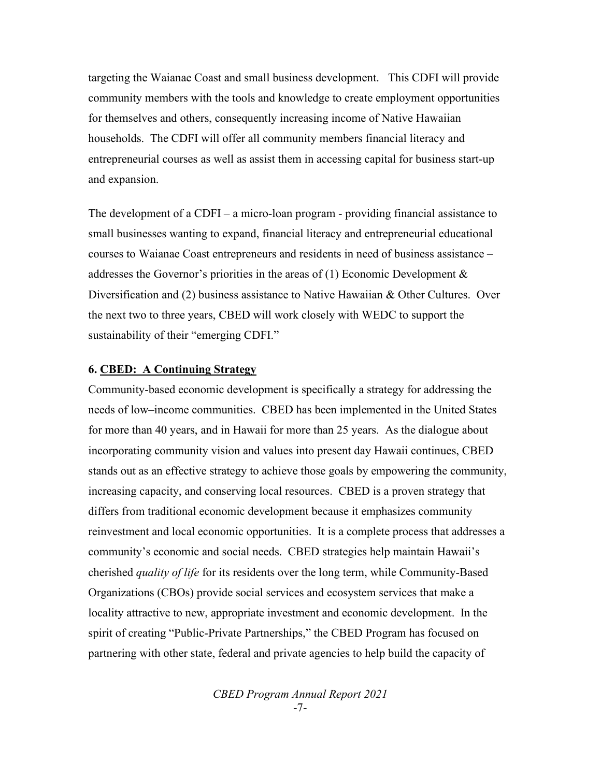targeting the Waianae Coast and small business development. This CDFI will provide community members with the tools and knowledge to create employment opportunities for themselves and others, consequently increasing income of Native Hawaiian households. The CDFI will offer all community members financial literacy and entrepreneurial courses as well as assist them in accessing capital for business start-up and expansion.

The development of a CDFI – a micro-loan program - providing financial assistance to small businesses wanting to expand, financial literacy and entrepreneurial educational courses to Waianae Coast entrepreneurs and residents in need of business assistance – addresses the Governor's priorities in the areas of  $(1)$  Economic Development  $\&$ Diversification and (2) business assistance to Native Hawaiian & Other Cultures. Over the next two to three years, CBED will work closely with WEDC to support the sustainability of their "emerging CDFI."

#### **6. CBED: A Continuing Strategy**

Community-based economic development is specifically a strategy for addressing the needs of low–income communities. CBED has been implemented in the United States for more than 40 years, and in Hawaii for more than 25 years. As the dialogue about incorporating community vision and values into present day Hawaii continues, CBED stands out as an effective strategy to achieve those goals by empowering the community, increasing capacity, and conserving local resources. CBED is a proven strategy that differs from traditional economic development because it emphasizes community reinvestment and local economic opportunities. It is a complete process that addresses a community's economic and social needs. CBED strategies help maintain Hawaii's cherished *quality of life* for its residents over the long term, while Community-Based Organizations (CBOs) provide social services and ecosystem services that make a locality attractive to new, appropriate investment and economic development. In the spirit of creating "Public-Private Partnerships," the CBED Program has focused on partnering with other state, federal and private agencies to help build the capacity of

> *CBED Program Annual Report 2021* -7-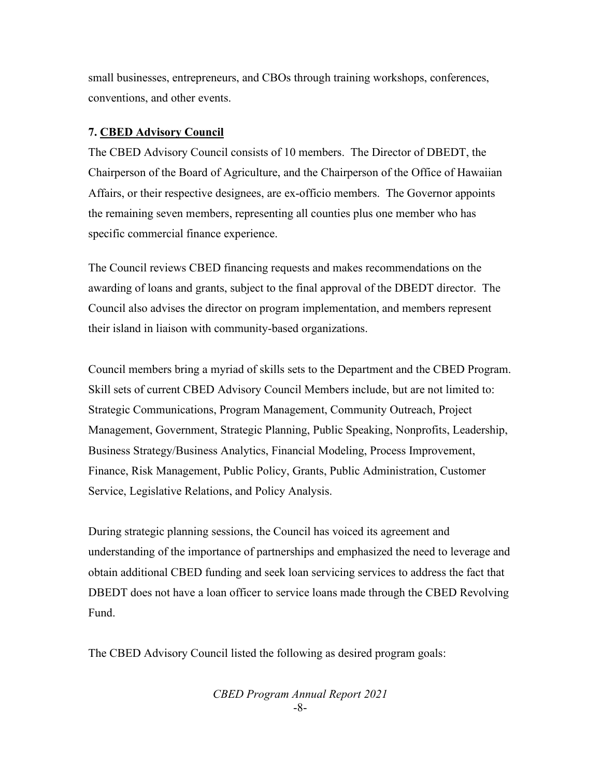small businesses, entrepreneurs, and CBOs through training workshops, conferences, conventions, and other events.

#### **7. CBED Advisory Council**

The CBED Advisory Council consists of 10 members. The Director of DBEDT, the Chairperson of the Board of Agriculture, and the Chairperson of the Office of Hawaiian Affairs, or their respective designees, are ex-officio members. The Governor appoints the remaining seven members, representing all counties plus one member who has specific commercial finance experience.

The Council reviews CBED financing requests and makes recommendations on the awarding of loans and grants, subject to the final approval of the DBEDT director. The Council also advises the director on program implementation, and members represent their island in liaison with community-based organizations.

Council members bring a myriad of skills sets to the Department and the CBED Program. Skill sets of current CBED Advisory Council Members include, but are not limited to: Strategic Communications, Program Management, Community Outreach, Project Management, Government, Strategic Planning, Public Speaking, Nonprofits, Leadership, Business Strategy/Business Analytics, Financial Modeling, Process Improvement, Finance, Risk Management, Public Policy, Grants, Public Administration, Customer Service, Legislative Relations, and Policy Analysis.

During strategic planning sessions, the Council has voiced its agreement and understanding of the importance of partnerships and emphasized the need to leverage and obtain additional CBED funding and seek loan servicing services to address the fact that DBEDT does not have a loan officer to service loans made through the CBED Revolving Fund.

The CBED Advisory Council listed the following as desired program goals:

*CBED Program Annual Report 2021* -8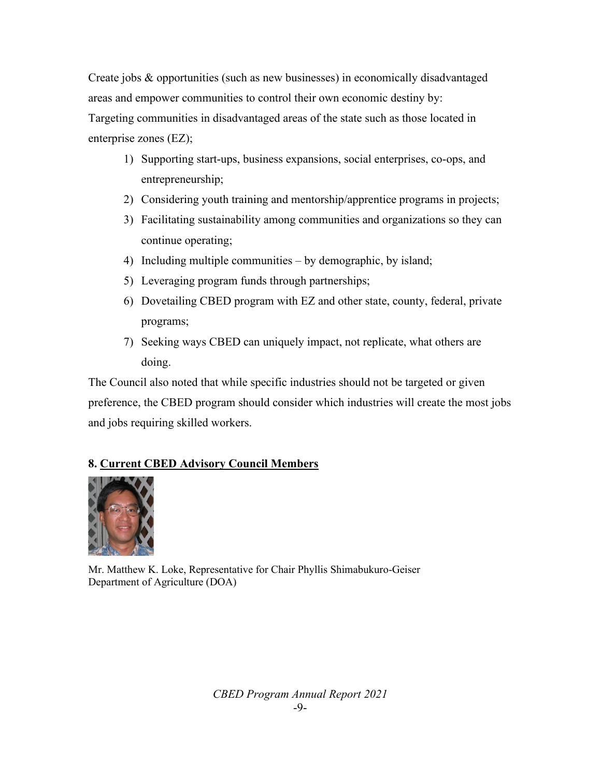Create jobs & opportunities (such as new businesses) in economically disadvantaged areas and empower communities to control their own economic destiny by: Targeting communities in disadvantaged areas of the state such as those located in enterprise zones (EZ);

- 1) Supporting start-ups, business expansions, social enterprises, co-ops, and entrepreneurship;
- 2) Considering youth training and mentorship/apprentice programs in projects;
- 3) Facilitating sustainability among communities and organizations so they can continue operating;
- 4) Including multiple communities by demographic, by island;
- 5) Leveraging program funds through partnerships;
- 6) Dovetailing CBED program with EZ and other state, county, federal, private programs;
- 7) Seeking ways CBED can uniquely impact, not replicate, what others are doing.

The Council also noted that while specific industries should not be targeted or given preference, the CBED program should consider which industries will create the most jobs and jobs requiring skilled workers.

# **8. Current CBED Advisory Council Members**



Mr. Matthew K. Loke, Representative for Chair Phyllis Shimabukuro-Geiser Department of Agriculture (DOA)

> *CBED Program Annual Report 2021* -9-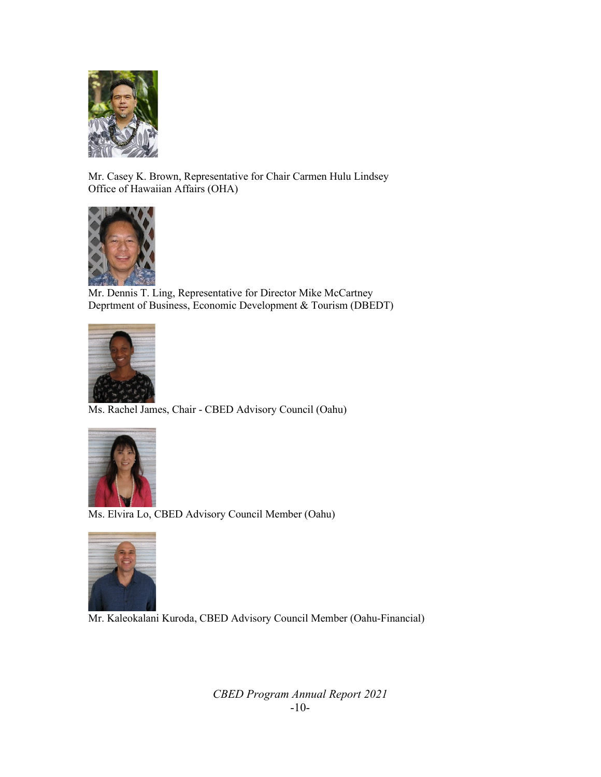

Mr. Casey K. Brown, Representative for Chair Carmen Hulu Lindsey Office of Hawaiian Affairs (OHA)



Mr. Dennis T. Ling, Representative for Director Mike McCartney Deprtment of Business, Economic Development & Tourism (DBEDT)



Ms. Rachel James, Chair - CBED Advisory Council (Oahu)



Ms. Elvira Lo, CBED Advisory Council Member (Oahu)



Mr. Kaleokalani Kuroda, CBED Advisory Council Member (Oahu-Financial)

*CBED Program Annual Report 2021* -10-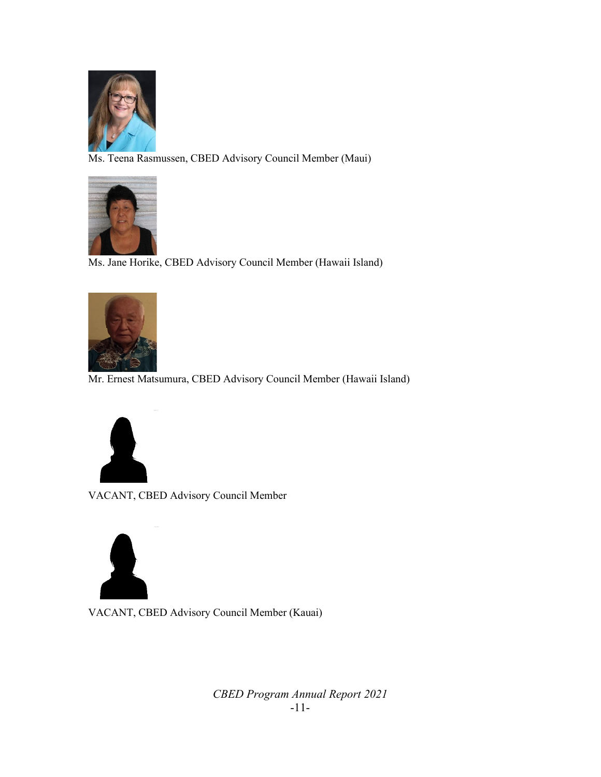

Ms. Teena Rasmussen, CBED Advisory Council Member (Maui)



Ms. Jane Horike, CBED Advisory Council Member (Hawaii Island)



Mr. Ernest Matsumura, CBED Advisory Council Member (Hawaii Island)



VACANT, CBED Advisory Council Member



VACANT, CBED Advisory Council Member (Kauai)

*CBED Program Annual Report 2021* -11-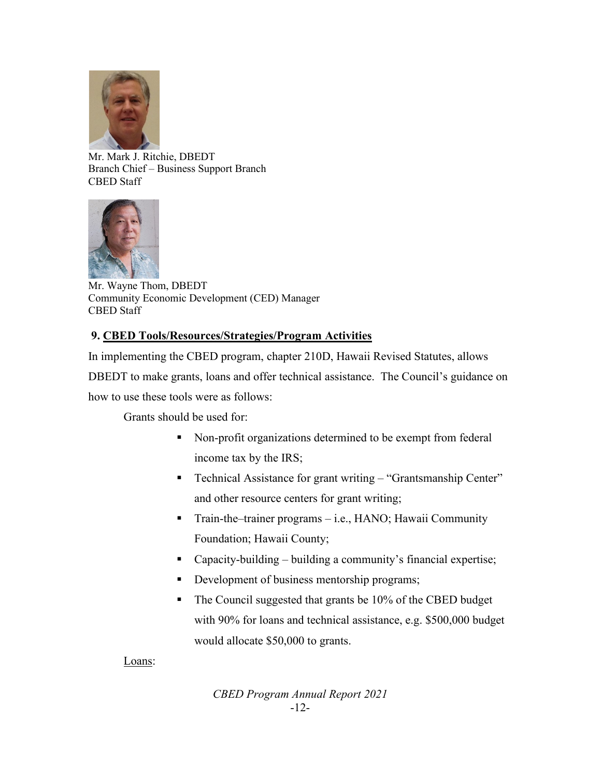

Mr. Mark J. Ritchie, DBEDT Branch Chief – Business Support Branch CBED Staff



Mr. Wayne Thom, DBEDT Community Economic Development (CED) Manager CBED Staff

# **9. CBED Tools/Resources/Strategies/Program Activities**

In implementing the CBED program, chapter 210D, Hawaii Revised Statutes, allows

DBEDT to make grants, loans and offer technical assistance. The Council's guidance on

how to use these tools were as follows:

Grants should be used for:

- Non-profit organizations determined to be exempt from federal income tax by the IRS;
- Technical Assistance for grant writing "Grantsmanship Center" and other resource centers for grant writing;
- Train-the–trainer programs i.e., HANO; Hawaii Community Foundation; Hawaii County;
- Capacity-building building a community's financial expertise;
- Development of business mentorship programs;
- The Council suggested that grants be 10% of the CBED budget with 90% for loans and technical assistance, e.g. \$500,000 budget would allocate \$50,000 to grants.

Loans:

*CBED Program Annual Report 2021* -12-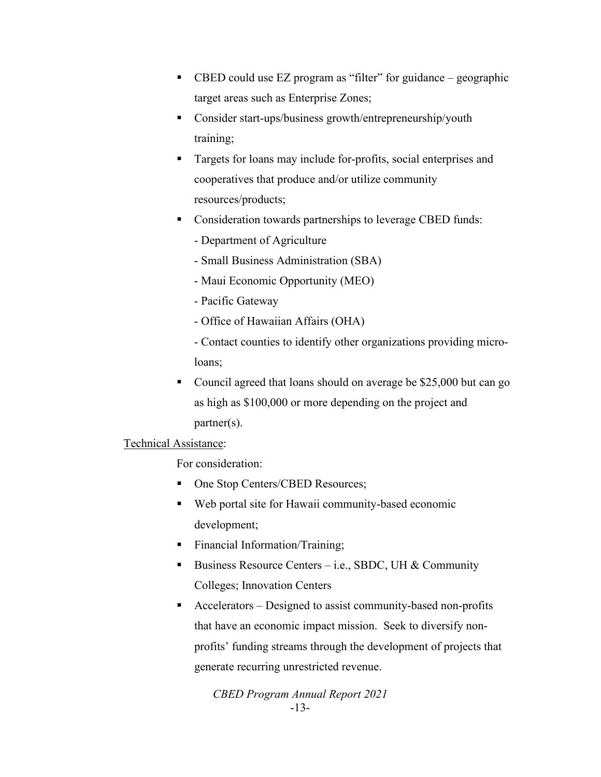- CBED could use EZ program as "filter" for guidance geographic target areas such as Enterprise Zones;
- Consider start-ups/business growth/entrepreneurship/youth training;
- Targets for loans may include for-profits, social enterprises and cooperatives that produce and/or utilize community resources/products;
- **Consideration towards partnerships to leverage CBED funds:** 
	- Department of Agriculture
	- Small Business Administration (SBA)
	- Maui Economic Opportunity (MEO)
	- Pacific Gateway
	- Office of Hawaiian Affairs (OHA)
	- Contact counties to identify other organizations providing microloans;
- Council agreed that loans should on average be \$25,000 but can go as high as \$100,000 or more depending on the project and partner(s).

## Technical Assistance:

For consideration:

- One Stop Centers/CBED Resources;
- Web portal site for Hawaii community-based economic development;
- **Financial Information/Training;**
- Business Resource Centers i.e., SBDC, UH & Community Colleges; Innovation Centers
- Accelerators Designed to assist community-based non-profits that have an economic impact mission. Seek to diversify nonprofits' funding streams through the development of projects that generate recurring unrestricted revenue.

*CBED Program Annual Report 2021* -13-